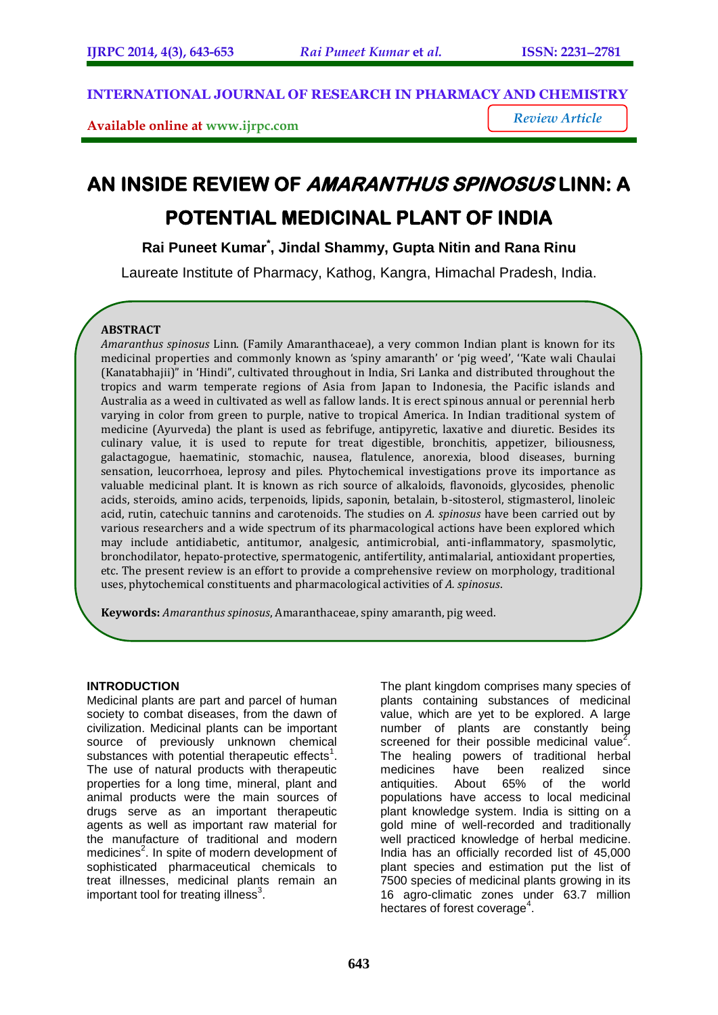**INTERNATIONAL JOURNAL OF RESEARCH IN PHARMACY AND CHEMISTRY**

**Available online at [www.ijrpc.com](http://www.ijrpc.com/)**

*Review Article*

# **AN INSIDE REVIEW OF AMARANTHUS SPINOSUS LINN: A POTENTIAL MEDICINAL PLANT OF INDIA**

**Rai Puneet Kumar\* , Jindal Shammy, Gupta Nitin and Rana Rinu**

Laureate Institute of Pharmacy, Kathog, Kangra, Himachal Pradesh, India.

# **ABSTRACT**

*Amaranthus spinosus* Linn. (Family Amaranthaceae), a very common Indian plant is known for its medicinal properties and commonly known as 'spiny amaranth' or 'pig weed', ''Kate wali Chaulai (Kanatabhajii)" in 'Hindi", cultivated throughout in India, Sri Lanka and distributed throughout the tropics and warm temperate regions of Asia from Japan to Indonesia, the Pacific islands and Australia as a weed in cultivated as well as fallow lands. It is erect spinous annual or perennial herb varying in color from green to purple, native to tropical America. In Indian traditional system of medicine (Ayurveda) the plant is used as febrifuge, antipyretic, laxative and diuretic. Besides its culinary value, it is used to repute for treat digestible, bronchitis, appetizer, biliousness, galactagogue, haematinic, stomachic, nausea, flatulence, anorexia, blood diseases, burning sensation, leucorrhoea, leprosy and piles. Phytochemical investigations prove its importance as valuable medicinal plant. It is known as rich source of alkaloids, flavonoids, glycosides, phenolic acids, steroids, amino acids, terpenoids, lipids, saponin, betalain, b-sitosterol, stigmasterol, linoleic acid, rutin, catechuic tannins and carotenoids. The studies on *A. spinosus* have been carried out by various researchers and a wide spectrum of its pharmacological actions have been explored which may include antidiabetic, antitumor, analgesic, antimicrobial, anti-inflammatory, spasmolytic, bronchodilator, hepato-protective, spermatogenic, antifertility, antimalarial, antioxidant properties, etc. The present review is an effort to provide a comprehensive review on morphology, traditional uses, phytochemical constituents and pharmacological activities of *A. spinosus*.

**Keywords:** *Amaranthus spinosus*, Amaranthaceae, spiny amaranth, pig weed.

# **INTRODUCTION**

Medicinal plants are part and parcel of human society to combat diseases, from the dawn of civilization. Medicinal plants can be important source of previously unknown chemical substances with potential therapeutic effects<sup>1</sup>. The use of natural products with therapeutic properties for a long time, mineral, plant and animal products were the main sources of drugs serve as an important therapeutic agents as well as important raw material for the manufacture of traditional and modern medicines<sup>2</sup>. In spite of modern development of sophisticated pharmaceutical chemicals to treat illnesses, medicinal plants remain an important tool for treating illness $3$ .

The plant kingdom comprises many species of plants containing substances of medicinal value, which are yet to be explored. A large number of plants are constantly being screened for their possible medicinal value<sup>2</sup>. The healing powers of traditional herbal medicines have been realized since antiquities. About 65% of the world populations have access to local medicinal plant knowledge system. India is sitting on a gold mine of well-recorded and traditionally well practiced knowledge of herbal medicine. India has an officially recorded list of 45,000 plant species and estimation put the list of 7500 species of medicinal plants growing in its 16 agro-climatic zones under 63.7 million hectares of forest coverage<sup>4</sup>.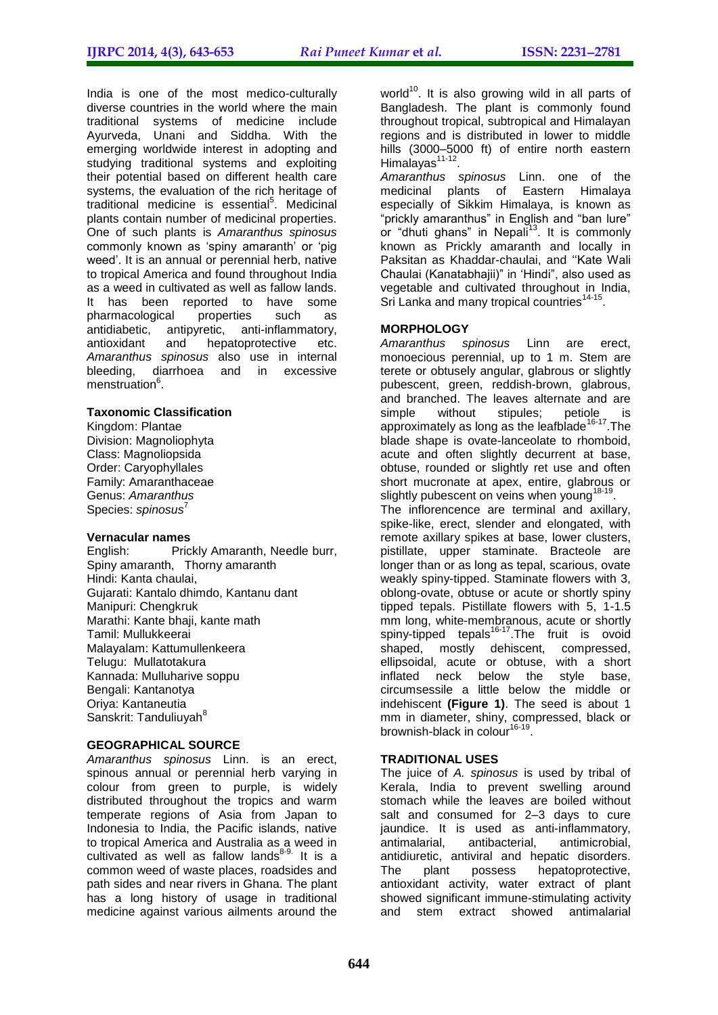India is one of the most medico-culturally diverse countries in the world where the main traditional systems of medicine include Ayurveda, Unani and Siddha. With the emerging worldwide interest in adopting and studying traditional systems and exploiting their potential based on different health care systems, the evaluation of the rich heritage of traditional medicine is essential<sup>5</sup>. Medicinal plants contain number of medicinal properties. One of such plants is *Amaranthus spinosus* commonly known as 'spiny amaranth' or 'pig weed". It is an annual or perennial herb, native to tropical America and found throughout India as a weed in cultivated as well as fallow lands. It has been reported to have some pharmacological properties such as antidiabetic, antipyretic, anti-inflammatory, antioxidant and hepatoprotective etc. *Amaranthus spinosus* also use in internal bleeding, diarrhoea and in excessive menstruation<sup>6</sup>.

#### **Taxonomic Classification**

Kingdom: Plantae Division: Magnoliophyta Class: Magnoliopsida Order: Caryophyllales Family: Amaranthaceae Genus: *Amaranthus* Species: *spinosus*<sup>7</sup>

#### **Vernacular names**

English: Prickly Amaranth, Needle burr, Spiny amaranth, Thorny amaranth Hindi: Kanta chaulai, Gujarati: Kantalo dhimdo, Kantanu dant Manipuri: Chengkruk Marathi: Kante bhaji, kante math Tamil: Mullukkeerai Malayalam: Kattumullenkeera Telugu: Mullatotakura Kannada: Mulluharive soppu Bengali: Kantanotya Oriya: Kantaneutia Sanskrit: Tanduliuvah<sup>8</sup>

# **GEOGRAPHICAL SOURCE**

*Amaranthus spinosus* Linn. is an erect, spinous annual or perennial herb varying in colour from green to purple, is widely distributed throughout the tropics and warm temperate regions of Asia from Japan to Indonesia to India, the Pacific islands, native to tropical America and Australia as a weed in cultivated as well as fallow lands<sup>8-9.</sup> It is a common weed of waste places, roadsides and path sides and near rivers in Ghana. The plant has a long history of usage in traditional medicine against various ailments around the

world<sup>10</sup>. It is also growing wild in all parts of Bangladesh. The plant is commonly found throughout tropical, subtropical and Himalayan regions and is distributed in lower to middle hills (3000–5000 ft) of entire north eastern Himalayas<sup>11-12</sup>.

*Amaranthus spinosus* Linn. one of the medicinal plants of Eastern Himalaya especially of Sikkim Himalaya, is known as "prickly amaranthus" in English and "ban lure" or "dhuti ghans" in Nepali<sup>13</sup>. It is commonly known as Prickly amaranth and locally in Paksitan as Khaddar-chaulai, and "Kate Wali Chaulai (Kanatabhajii)" in "Hindi", also used as vegetable and cultivated throughout in India, Sri Lanka and many tropical countries<sup>14-15</sup>.

# **MORPHOLOGY**

*Amaranthus spinosus* Linn are erect, monoecious perennial, up to 1 m. Stem are terete or obtusely angular, glabrous or slightly pubescent, green, reddish-brown, glabrous, and branched. The leaves alternate and are simple without stipules; petiole is approximately as long as the leafblade<sup>16-17</sup>. The blade shape is ovate-lanceolate to rhomboid, acute and often slightly decurrent at base, obtuse, rounded or slightly ret use and often short mucronate at apex, entire, glabrous or slightly pubescent on veins when young<sup>18-19</sup>. The inflorencence are terminal and axillary, spike-like, erect, slender and elongated, with remote axillary spikes at base, lower clusters, pistillate, upper staminate. Bracteole are longer than or as long as tepal, scarious, ovate weakly spiny-tipped. Staminate flowers with 3, oblong-ovate, obtuse or acute or shortly spiny tipped tepals. Pistillate flowers with 5, 1-1.5 mm long, white-membranous, acute or shortly spiny-tipped tepals<sup>16-17</sup>. The fruit is ovoid shaped, mostly dehiscent, compressed, ellipsoidal, acute or obtuse, with a short inflated neck below the style base, circumsessile a little below the middle or indehiscent **(Figure 1)**. The seed is about 1 mm in diameter, shiny, compressed, black or brownish-black in colour<sup>16-19</sup>.

#### **TRADITIONAL USES**

The juice of *A. spinosus* is used by tribal of Kerala, India to prevent swelling around stomach while the leaves are boiled without salt and consumed for 2–3 days to cure jaundice. It is used as anti-inflammatory, antimalarial, antibacterial, antimicrobial, antidiuretic, antiviral and hepatic disorders. The plant possess hepatoprotective, antioxidant activity, water extract of plant showed significant immune-stimulating activity and stem extract showed antimalarial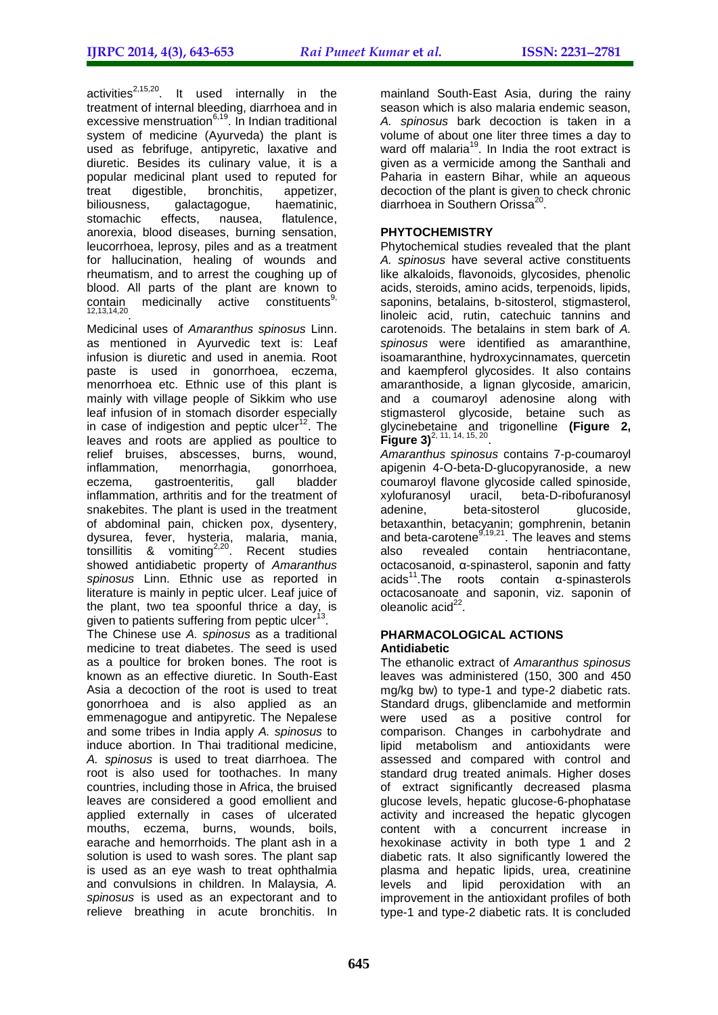activities<sup>2,15,20</sup>. It used internally in the treatment of internal bleeding, diarrhoea and in excessive menstruation<sup>6,19</sup>. In Indian traditional system of medicine (Ayurveda) the plant is used as febrifuge, antipyretic, laxative and diuretic. Besides its culinary value, it is a popular medicinal plant used to reputed for<br>treat digestible, bronchitis, appetizer, treat digestible, bronchitis, appetizer,<br>biliousness, galactagogue, haematinic, galactagogue,<br>fects. nausea. stomachic effects, nausea, flatulence, anorexia, blood diseases, burning sensation, leucorrhoea, leprosy, piles and as a treatment for hallucination, healing of wounds and rheumatism, and to arrest the coughing up of blood. All parts of the plant are known to  $\text{contain}$  medicinally active constituents<sup>9,</sup> 12,13,14,20 .

Medicinal uses of *Amaranthus spinosus* Linn. as mentioned in Ayurvedic text is: Leaf infusion is diuretic and used in anemia. Root paste is used in gonorrhoea, eczema, menorrhoea etc. Ethnic use of this plant is mainly with village people of Sikkim who use leaf infusion of in stomach disorder especially in case of indigestion and peptic ulcer<sup>12</sup>. The leaves and roots are applied as poultice to relief bruises, abscesses, burns, wound, inflammation, menorrhagia, gonorrhoea,<br>eczema, gastroenteritis, gall bladder gastroenteritis, gall bladder inflammation, arthritis and for the treatment of snakebites. The plant is used in the treatment of abdominal pain, chicken pox, dysentery, dysurea, fever, hysteria, malaria, mania, tonsillitis & vomiting<sup>2,20</sup>. Recent studies showed antidiabetic property of *Amaranthus spinosus* Linn. Ethnic use as reported in literature is mainly in peptic ulcer. Leaf juice of the plant, two tea spoonful thrice a day, is given to patients suffering from peptic ulcer<sup>13</sup>.

The Chinese use *A. spinosus* as a traditional medicine to treat diabetes. The seed is used as a poultice for broken bones. The root is known as an effective diuretic. In South-East Asia a decoction of the root is used to treat gonorrhoea and is also applied as an emmenagogue and antipyretic. The Nepalese and some tribes in India apply *A. spinosus* to induce abortion. In Thai traditional medicine, *A. spinosus* is used to treat diarrhoea. The root is also used for toothaches. In many countries, including those in Africa, the bruised leaves are considered a good emollient and applied externally in cases of ulcerated mouths, eczema, burns, wounds, boils, earache and hemorrhoids. The plant ash in a solution is used to wash sores. The plant sap is used as an eye wash to treat ophthalmia and convulsions in children. In Malaysia*, A. spinosus* is used as an expectorant and to relieve breathing in acute bronchitis. In

mainland South-East Asia, during the rainy season which is also malaria endemic season, *A. spinosus* bark decoction is taken in a volume of about one liter three times a day to ward off malaria<sup>19</sup>. In India the root extract is given as a vermicide among the Santhali and Paharia in eastern Bihar, while an aqueous decoction of the plant is given to check chronic diarrhoea in Southern Orissa<sup>26</sup> .

# **PHYTOCHEMISTRY**

Phytochemical studies revealed that the plant *A. spinosus* have several active constituents like alkaloids, flavonoids, glycosides, phenolic acids, steroids, amino acids, terpenoids, lipids, saponins, betalains, b-sitosterol, stigmasterol, linoleic acid, rutin, catechuic tannins and carotenoids. The betalains in stem bark of *A. spinosus* were identified as amaranthine, isoamaranthine, hydroxycinnamates, quercetin and kaempferol glycosides. It also contains amaranthoside, a lignan glycoside, amaricin, and a coumaroyl adenosine along with stigmasterol glycoside, betaine such as glycinebetaine and trigonelline **(Figure 2, Figure 3)**<sup>2, 11, 14, 15, 20</sup>.

*Amaranthus spinosus* contains 7-p-coumaroyl apigenin 4-O-beta-D-glucopyranoside, a new coumaroyl flavone glycoside called spinoside,<br>xylofuranosyl uracil, beta-D-ribofuranosyl xylofuranosyl uracil, beta-D-ribofuranosyl adenine, beta-sitosterol glucoside. betaxanthin, betacyanin; gomphrenin, betanin and beta-carotene<sup>9,19,21</sup>. The leaves and stems also revealed contain hentriacontane, octacosanoid, α-spinasterol, saponin and fatty  $acids<sup>11</sup>$ . The roots contain  $\alpha$ -spinasterols octacosanoate and saponin, viz. saponin of oleanolic acid<sup>22</sup>.

#### **PHARMACOLOGICAL ACTIONS Antidiabetic**

The ethanolic extract of *Amaranthus spinosus* leaves was administered (150, 300 and 450 mg/kg bw) to type-1 and type-2 diabetic rats. Standard drugs, glibenclamide and metformin were used as a positive control for comparison. Changes in carbohydrate and lipid metabolism and antioxidants were assessed and compared with control and standard drug treated animals. Higher doses of extract significantly decreased plasma glucose levels, hepatic glucose-6-phophatase activity and increased the hepatic glycogen content with a concurrent increase in hexokinase activity in both type 1 and 2 diabetic rats. It also significantly lowered the plasma and hepatic lipids, urea, creatinine levels and lipid peroxidation with an improvement in the antioxidant profiles of both type-1 and type-2 diabetic rats. It is concluded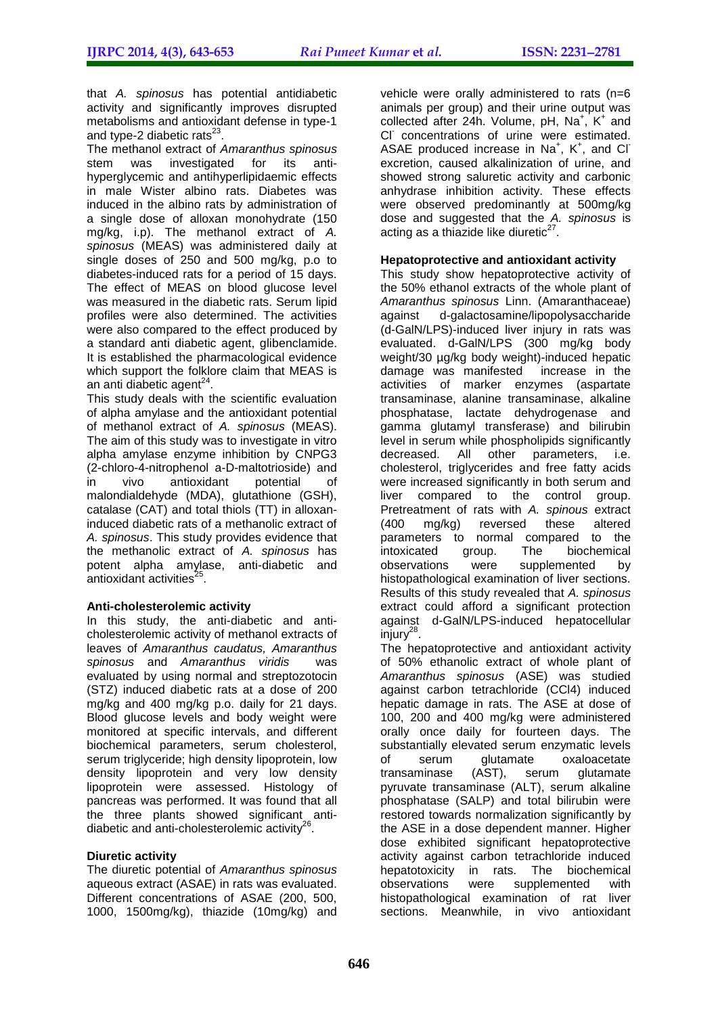that *A. spinosus* has potential antidiabetic activity and significantly improves disrupted metabolisms and antioxidant defense in type-1 and type-2 diabetic rats $^{23}$ .

The methanol extract of *Amaranthus spinosus* stem was investigated for its antihyperglycemic and antihyperlipidaemic effects in male Wister albino rats. Diabetes was induced in the albino rats by administration of a single dose of alloxan monohydrate (150 mg/kg, i.p). The methanol extract of *A. spinosus* (MEAS) was administered daily at single doses of 250 and 500 mg/kg, p.o to diabetes-induced rats for a period of 15 days. The effect of MEAS on blood glucose level was measured in the diabetic rats. Serum lipid profiles were also determined. The activities were also compared to the effect produced by a standard anti diabetic agent, glibenclamide. It is established the pharmacological evidence which support the folklore claim that MEAS is an anti diabetic agent<sup>24</sup>.

This study deals with the scientific evaluation of alpha amylase and the antioxidant potential of methanol extract of *A. spinosus* (MEAS). The aim of this study was to investigate in vitro alpha amylase enzyme inhibition by CNPG3 (2-chloro-4-nitrophenol a-D-maltotrioside) and<br>in vivo antioxidant potential of in vivo antioxidant potential of malondialdehyde (MDA), glutathione (GSH), catalase (CAT) and total thiols (TT) in alloxaninduced diabetic rats of a methanolic extract of *A. spinosus*. This study provides evidence that the methanolic extract of *A. spinosus* has potent alpha amylase, anti-diabetic and antioxidant activities<sup>25</sup>.

# **Anti-cholesterolemic activity**

In this study, the anti-diabetic and anticholesterolemic activity of methanol extracts of leaves of *Amaranthus caudatus, Amaranthus spinosus* and *Amaranthus viridis* was evaluated by using normal and streptozotocin (STZ) induced diabetic rats at a dose of 200 mg/kg and 400 mg/kg p.o. daily for 21 days. Blood glucose levels and body weight were monitored at specific intervals, and different biochemical parameters, serum cholesterol, serum triglyceride; high density lipoprotein, low density lipoprotein and very low density lipoprotein were assessed. Histology of pancreas was performed. It was found that all the three plants showed significant antidiabetic and anti-cholesterolemic activity $^{26}$ .

# **Diuretic activity**

The diuretic potential of *Amaranthus spinosus* aqueous extract (ASAE) in rats was evaluated. Different concentrations of ASAE (200, 500, 1000, 1500mg/kg), thiazide (10mg/kg) and

vehicle were orally administered to rats (n=6 animals per group) and their urine output was collected after 24h. Volume, pH,  $Na<sup>+</sup>$ , K<sup>+</sup> and CI concentrations of urine were estimated. ASAE produced increase in  $Na<sup>+</sup>$ , K<sup>+</sup>, and Cl<sup>-</sup> excretion, caused alkalinization of urine, and showed strong saluretic activity and carbonic anhydrase inhibition activity. These effects were observed predominantly at 500mg/kg dose and suggested that the *A. spinosus* is acting as a thiazide like diuretic $27$ .

# **Hepatoprotective and antioxidant activity**

This study show hepatoprotective activity of the 50% ethanol extracts of the whole plant of *Amaranthus spinosus* Linn. (Amaranthaceae) against d-galactosamine/lipopolysaccharide (d-GalN/LPS)-induced liver injury in rats was evaluated. d-GalN/LPS (300 mg/kg body weight/30 µg/kg body weight)-induced hepatic damage was manifested increase in the activities of marker enzymes (aspartate transaminase, alanine transaminase, alkaline phosphatase, lactate dehydrogenase and gamma glutamyl transferase) and bilirubin level in serum while phospholipids significantly decreased. All other parameters, i.e. cholesterol, triglycerides and free fatty acids were increased significantly in both serum and liver compared to the control group. Pretreatment of rats with *A. spinous* extract (400 mg/kg) reversed these altered parameters to normal compared to the intoxicated group. The biochemical observations were supplemented by histopathological examination of liver sections. Results of this study revealed that *A. spinosus* extract could afford a significant protection against d-GalN/LPS-induced hepatocellular injury<sup>28</sup>.

The hepatoprotective and antioxidant activity of 50% ethanolic extract of whole plant of *Amaranthus spinosus* (ASE) was studied against carbon tetrachloride (CCl4) induced hepatic damage in rats. The ASE at dose of 100, 200 and 400 mg/kg were administered orally once daily for fourteen days. The substantially elevated serum enzymatic levels<br>of serum glutamate oxaloacetate of serum glutamate oxaloacetate transaminase (AST), serum glutamate pyruvate transaminase (ALT), serum alkaline phosphatase (SALP) and total bilirubin were restored towards normalization significantly by the ASE in a dose dependent manner. Higher dose exhibited significant hepatoprotective activity against carbon tetrachloride induced hepatotoxicity in rats. The biochemical observations were supplemented with histopathological examination of rat liver sections. Meanwhile, in vivo antioxidant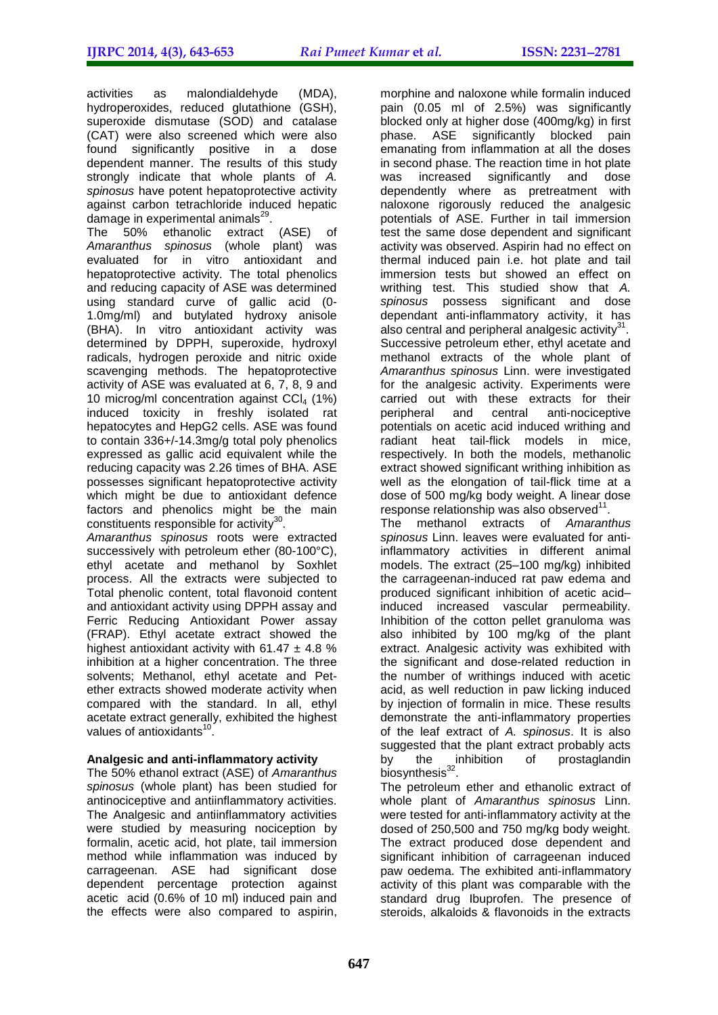activities as malondialdehyde (MDA), hydroperoxides, reduced glutathione (GSH), superoxide dismutase (SOD) and catalase (CAT) were also screened which were also found significantly positive in a dose dependent manner. The results of this study strongly indicate that whole plants of *A. spinosus* have potent hepatoprotective activity against carbon tetrachloride induced hepatic damage in experimental animals<sup>29</sup>.

The 50% ethanolic extract (ASE) of *Amaranthus spinosus* (whole plant) was evaluated for in vitro antioxidant and hepatoprotective activity. The total phenolics and reducing capacity of ASE was determined using standard curve of gallic acid (0- 1.0mg/ml) and butylated hydroxy anisole (BHA). In vitro antioxidant activity was determined by DPPH, superoxide, hydroxyl radicals, hydrogen peroxide and nitric oxide scavenging methods. The hepatoprotective activity of ASE was evaluated at 6, 7, 8, 9 and 10 microg/ml concentration against  $CCI<sub>4</sub>$  (1%) induced toxicity in freshly isolated rat hepatocytes and HepG2 cells. ASE was found to contain 336+/-14.3mg/g total poly phenolics expressed as gallic acid equivalent while the reducing capacity was 2.26 times of BHA. ASE possesses significant hepatoprotective activity which might be due to antioxidant defence factors and phenolics might be the main constituents responsible for activity $30$ .

*Amaranthus spinosus* roots were extracted successively with petroleum ether (80-100°C), ethyl acetate and methanol by Soxhlet process. All the extracts were subjected to Total phenolic content, total flavonoid content and antioxidant activity using DPPH assay and Ferric Reducing Antioxidant Power assay (FRAP). Ethyl acetate extract showed the highest antioxidant activity with  $61.47 \pm 4.8$  % inhibition at a higher concentration. The three solvents; Methanol, ethyl acetate and Petether extracts showed moderate activity when compared with the standard. In all, ethyl acetate extract generally, exhibited the highest values of antioxidants<sup>10</sup>.

# **Analgesic and anti-inflammatory activity**

The 50% ethanol extract (ASE) of *Amaranthus spinosus* (whole plant) has been studied for antinociceptive and antiinflammatory activities. The Analgesic and antiinflammatory activities were studied by measuring nociception by formalin, acetic acid, hot plate, tail immersion method while inflammation was induced by carrageenan. ASE had significant dose dependent percentage protection against acetic acid (0.6% of 10 ml) induced pain and the effects were also compared to aspirin,

morphine and naloxone while formalin induced pain (0.05 ml of 2.5%) was significantly blocked only at higher dose (400mg/kg) in first phase. ASE significantly blocked pain emanating from inflammation at all the doses in second phase. The reaction time in hot plate was increased significantly and dose dependently where as pretreatment with naloxone rigorously reduced the analgesic potentials of ASE. Further in tail immersion test the same dose dependent and significant activity was observed. Aspirin had no effect on thermal induced pain i.e. hot plate and tail immersion tests but showed an effect on writhing test. This studied show that *A. spinosus* possess significant and dose dependant anti-inflammatory activity, it has also central and peripheral analgesic activity $31$ . Successive petroleum ether, ethyl acetate and methanol extracts of the whole plant of *Amaranthus spinosus* Linn. were investigated for the analgesic activity. Experiments were carried out with these extracts for their peripheral and central anti-nociceptive potentials on acetic acid induced writhing and radiant heat tail-flick models in mice, respectively. In both the models, methanolic extract showed significant writhing inhibition as well as the elongation of tail-flick time at a dose of 500 mg/kg body weight. A linear dose  $response$  relationship was also observed $11$ .

The methanol extracts of *Amaranthus spinosus* Linn. leaves were evaluated for antiinflammatory activities in different animal models. The extract (25–100 mg/kg) inhibited the carrageenan-induced rat paw edema and produced significant inhibition of acetic acid– induced increased vascular permeability. Inhibition of the cotton pellet granuloma was also inhibited by 100 mg/kg of the plant extract. Analgesic activity was exhibited with the significant and dose-related reduction in the number of writhings induced with acetic acid, as well reduction in paw licking induced by injection of formalin in mice. These results demonstrate the anti-inflammatory properties of the leaf extract of *A. spinosus*. It is also suggested that the plant extract probably acts by the inhibition of prostaglandin biosynthesis<sup>32</sup>.

The petroleum ether and ethanolic extract of whole plant of *Amaranthus spinosus* Linn. were tested for anti-inflammatory activity at the dosed of 250,500 and 750 mg/kg body weight. The extract produced dose dependent and significant inhibition of carrageenan induced paw oedema. The exhibited anti-inflammatory activity of this plant was comparable with the standard drug Ibuprofen. The presence of steroids, alkaloids & flavonoids in the extracts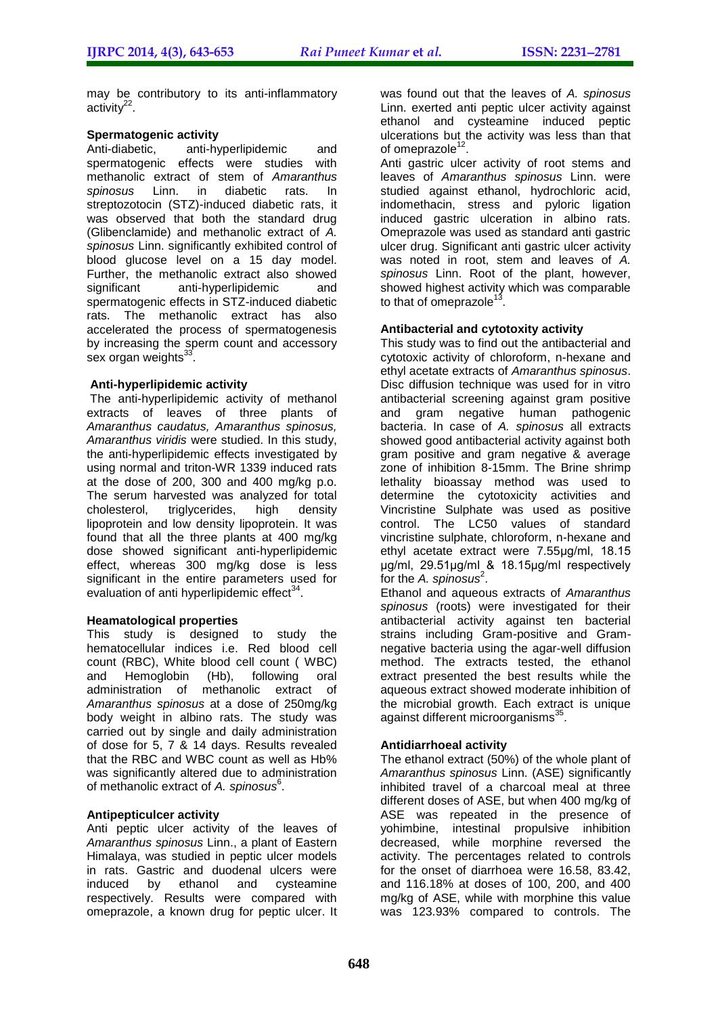may be contributory to its anti-inflammatory activity<sup>22</sup>.

# **Spermatogenic activity**

Anti-diabetic, anti-hyperlipidemic and spermatogenic effects were studies with methanolic extract of stem of *Amaranthus spinosus* Linn. in diabetic rats. In streptozotocin (STZ)-induced diabetic rats, it was observed that both the standard drug (Glibenclamide) and methanolic extract of *A. spinosus* Linn. significantly exhibited control of blood glucose level on a 15 day model. Further, the methanolic extract also showed significant anti-hyperlipidemic and spermatogenic effects in STZ-induced diabetic rats. The methanolic extract has also accelerated the process of spermatogenesis by increasing the sperm count and accessory sex organ weights<sup>33</sup>.

#### **Anti-hyperlipidemic activity**

The anti-hyperlipidemic activity of methanol extracts of leaves of three plants of *Amaranthus caudatus, Amaranthus spinosus, Amaranthus viridis* were studied. In this study, the anti-hyperlipidemic effects investigated by using normal and triton-WR 1339 induced rats at the dose of 200, 300 and 400 mg/kg p.o. The serum harvested was analyzed for total cholesterol, triglycerides, high density lipoprotein and low density lipoprotein. It was found that all the three plants at 400 mg/kg dose showed significant anti-hyperlipidemic effect, whereas 300 mg/kg dose is less significant in the entire parameters used for evaluation of anti hyperlipidemic effect<sup>34</sup>.

# **Heamatological properties**

This study is designed to study the hematocellular indices i.e. Red blood cell count (RBC), White blood cell count ( WBC) and Hemoglobin (Hb), following oral administration of methanolic extract of *Amaranthus spinosus* at a dose of 250mg/kg body weight in albino rats. The study was carried out by single and daily administration of dose for 5, 7 & 14 days. Results revealed that the RBC and WBC count as well as Hb% was significantly altered due to administration of methanolic extract of *A. spinosus*<sup>6</sup> .

# **Antipepticulcer activity**

Anti peptic ulcer activity of the leaves of *Amaranthus spinosus* Linn., a plant of Eastern Himalaya, was studied in peptic ulcer models in rats. Gastric and duodenal ulcers were induced by ethanol and cysteamine respectively. Results were compared with omeprazole, a known drug for peptic ulcer. It was found out that the leaves of *A. spinosus* Linn. exerted anti peptic ulcer activity against ethanol and cysteamine induced peptic ulcerations but the activity was less than that of omeprazole<sup>12</sup>.

Anti gastric ulcer activity of root stems and leaves of *Amaranthus spinosus* Linn. were studied against ethanol, hydrochloric acid, indomethacin, stress and pyloric ligation induced gastric ulceration in albino rats. Omeprazole was used as standard anti gastric ulcer drug. Significant anti gastric ulcer activity was noted in root, stem and leaves of *A. spinosus* Linn. Root of the plant, however, showed highest activity which was comparable to that of omeprazole $^{13}$ .

#### **Antibacterial and cytotoxity activity**

This study was to find out the antibacterial and cytotoxic activity of chloroform, n-hexane and ethyl acetate extracts of *Amaranthus spinosus*. Disc diffusion technique was used for in vitro antibacterial screening against gram positive and gram negative human pathogenic bacteria. In case of *A. spinosus* all extracts showed good antibacterial activity against both gram positive and gram negative & average zone of inhibition 8-15mm. The Brine shrimp lethality bioassay method was used to determine the cytotoxicity activities and Vincristine Sulphate was used as positive control. The LC50 values of standard vincristine sulphate, chloroform, n-hexane and ethyl acetate extract were 7.55μg/ml, 18.15 μg/ml, 29.51μg/ml & 18.15μg/ml respectively for the A. spinosus<sup>2</sup>.

Ethanol and aqueous extracts of *Amaranthus spinosus* (roots) were investigated for their antibacterial activity against ten bacterial strains including Gram-positive and Gramnegative bacteria using the agar-well diffusion method. The extracts tested, the ethanol extract presented the best results while the aqueous extract showed moderate inhibition of the microbial growth. Each extract is unique against different microorganisms<sup>35</sup>.

# **Antidiarrhoeal activity**

The ethanol extract (50%) of the whole plant of *Amaranthus spinosus* Linn. (ASE) significantly inhibited travel of a charcoal meal at three different doses of ASE, but when 400 mg/kg of ASE was repeated in the presence of yohimbine, intestinal propulsive inhibition decreased, while morphine reversed the activity. The percentages related to controls for the onset of diarrhoea were 16.58, 83.42, and 116.18% at doses of 100, 200, and 400 mg/kg of ASE, while with morphine this value was 123.93% compared to controls. The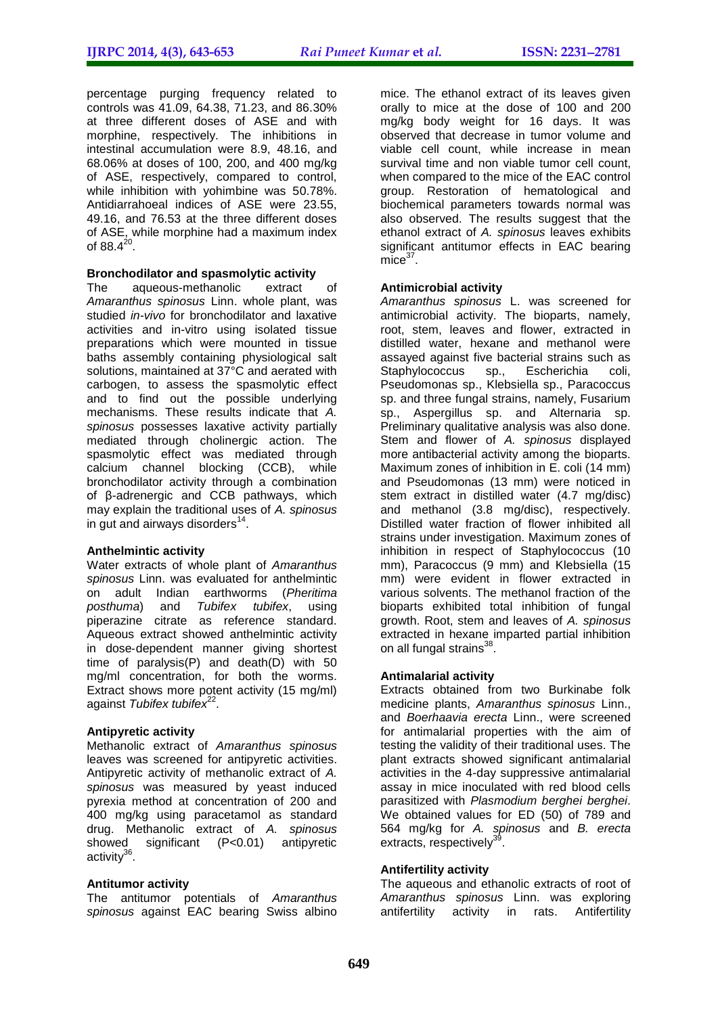percentage purging frequency related to controls was 41.09, 64.38, 71.23, and 86.30% at three different doses of ASE and with morphine, respectively. The inhibitions in intestinal accumulation were 8.9, 48.16, and 68.06% at doses of 100, 200, and 400 mg/kg of ASE, respectively, compared to control, while inhibition with yohimbine was 50.78%. Antidiarrahoeal indices of ASE were 23.55, 49.16, and 76.53 at the three different doses of ASE, while morphine had a maximum index of 88.4 $^{20}$ .

#### **Bronchodilator and spasmolytic activity**

The aqueous-methanolic extract of *Amaranthus spinosus* Linn. whole plant, was studied *in-vivo* for bronchodilator and laxative activities and in-vitro using isolated tissue preparations which were mounted in tissue baths assembly containing physiological salt solutions, maintained at 37°C and aerated with carbogen, to assess the spasmolytic effect and to find out the possible underlying mechanisms. These results indicate that *A. spinosus* possesses laxative activity partially mediated through cholinergic action. The spasmolytic effect was mediated through calcium channel blocking (CCB), while bronchodilator activity through a combination of β-adrenergic and CCB pathways, which may explain the traditional uses of *A. spinosus*  in gut and airways disorders $^{14}$ .

# **Anthelmintic activity**

Water extracts of whole plant of *Amaranthus spinosus* Linn. was evaluated for anthelmintic on adult Indian earthworms (*Pheritima posthuma*) and *Tubifex tubifex*, using piperazine citrate as reference standard. Aqueous extract showed anthelmintic activity in dose‐dependent manner giving shortest time of paralysis(P) and death(D) with 50 mg/ml concentration, for both the worms. Extract shows more potent activity (15 mg/ml) against *Tubifex tubifex*<sup>22</sup>.

# **Antipyretic activity**

Methanolic extract of *Amaranthus spinosus* leaves was screened for antipyretic activities. Antipyretic activity of methanolic extract of *A. spinosus* was measured by yeast induced pyrexia method at concentration of 200 and 400 mg/kg using paracetamol as standard drug. Methanolic extract of *A. spinosus* showed significant (P<0.01) antipyretic activity<sup>36</sup>.

# **Antitumor activity**

The antitumor potentials of *Amaranthus spinosus* against EAC bearing Swiss albino

mice. The ethanol extract of its leaves given orally to mice at the dose of 100 and 200 mg/kg body weight for 16 days. It was observed that decrease in tumor volume and viable cell count, while increase in mean survival time and non viable tumor cell count, when compared to the mice of the EAC control group. Restoration of hematological and biochemical parameters towards normal was also observed. The results suggest that the ethanol extract of *A. spinosus* leaves exhibits significant antitumor effects in EAC bearing  $m\bar{c}e^{37}$ .

#### **Antimicrobial activity**

*Amaranthus spinosus* L. was screened for antimicrobial activity. The bioparts, namely, root, stem, leaves and flower, extracted in distilled water, hexane and methanol were assayed against five bacterial strains such as Staphylococcus sp., Escherichia coli, Pseudomonas sp., Klebsiella sp., Paracoccus sp. and three fungal strains, namely, Fusarium sp., Aspergillus sp. and Alternaria sp. Preliminary qualitative analysis was also done. Stem and flower of *A. spinosus* displayed more antibacterial activity among the bioparts. Maximum zones of inhibition in E. coli (14 mm) and Pseudomonas (13 mm) were noticed in stem extract in distilled water (4.7 mg/disc) and methanol (3.8 mg/disc), respectively. Distilled water fraction of flower inhibited all strains under investigation. Maximum zones of inhibition in respect of Staphylococcus (10 mm), Paracoccus (9 mm) and Klebsiella (15 mm) were evident in flower extracted in various solvents. The methanol fraction of the bioparts exhibited total inhibition of fungal growth. Root, stem and leaves of *A. spinosus*  extracted in hexane imparted partial inhibition on all fungal strains<sup>38</sup>.

#### **Antimalarial activity**

Extracts obtained from two Burkinabe folk medicine plants, *Amaranthus spinosus* Linn., and *Boerhaavia erecta* Linn., were screened for antimalarial properties with the aim of testing the validity of their traditional uses. The plant extracts showed significant antimalarial activities in the 4-day suppressive antimalarial assay in mice inoculated with red blood cells parasitized with *Plasmodium berghei berghei*. We obtained values for ED (50) of 789 and 564 mg/kg for *A. spinosus* and *B. erecta* extracts, respectively<sup>39</sup> .

# **Antifertility activity**

The aqueous and ethanolic extracts of root of *Amaranthus spinosus* Linn. was exploring antifertility activity in rats. Antifertility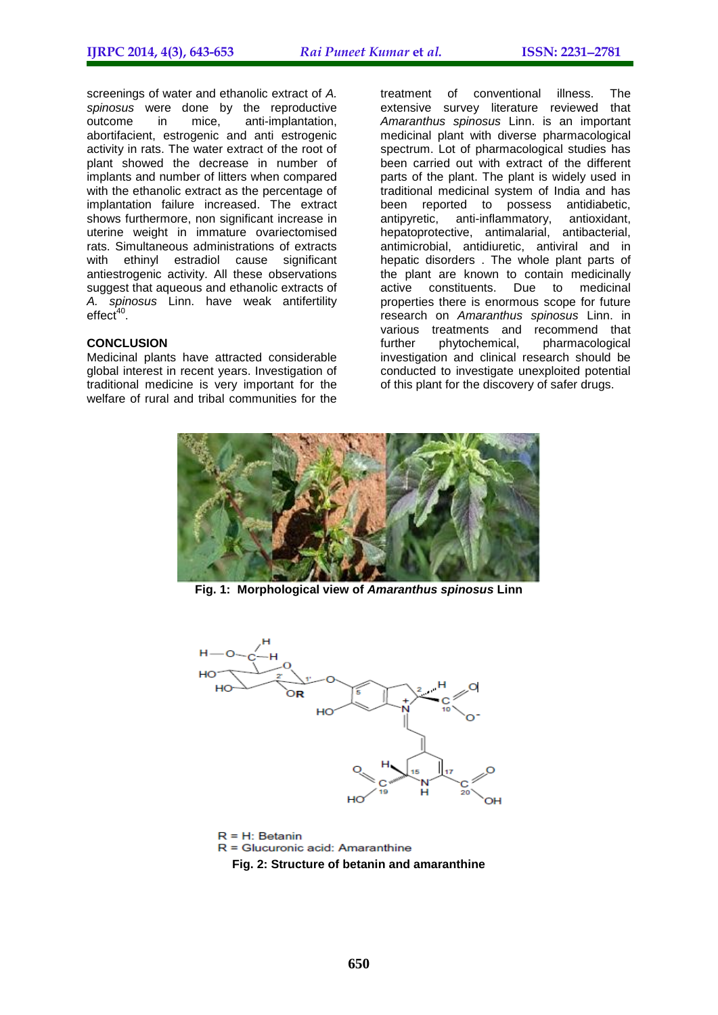screenings of water and ethanolic extract of *A. spinosus* were done by the reproductive outcome in mice, anti-implantation, abortifacient, estrogenic and anti estrogenic activity in rats. The water extract of the root of plant showed the decrease in number of implants and number of litters when compared with the ethanolic extract as the percentage of implantation failure increased. The extract shows furthermore, non significant increase in uterine weight in immature ovariectomised rats. Simultaneous administrations of extracts with ethinyl estradiol cause significant antiestrogenic activity. All these observations suggest that aqueous and ethanolic extracts of *A. spinosus* Linn. have weak antifertility  $effect<sup>40</sup>$ .

#### **CONCLUSION**

Medicinal plants have attracted considerable global interest in recent years. Investigation of traditional medicine is very important for the welfare of rural and tribal communities for the

treatment of conventional illness. The extensive survey literature reviewed that *Amaranthus spinosus* Linn. is an important medicinal plant with diverse pharmacological spectrum. Lot of pharmacological studies has been carried out with extract of the different parts of the plant. The plant is widely used in traditional medicinal system of India and has been reported to possess antidiabetic, antipyretic, anti-inflammatory, antioxidant, hepatoprotective, antimalarial, antibacterial, antimicrobial, antidiuretic, antiviral and in hepatic disorders . The whole plant parts of the plant are known to contain medicinally active constituents. Due to medicinal properties there is enormous scope for future research on *Amaranthus spinosus* Linn. in various treatments and recommend that further phytochemical, pharmacological investigation and clinical research should be conducted to investigate unexploited potential of this plant for the discovery of safer drugs.



**Fig. 1: Morphological view of** *Amaranthus spinosus* **Linn**



 $R = H$ : Betanin  $R =$  Glucuronic acid: Amaranthine **Fig. 2: Structure of betanin and amaranthine**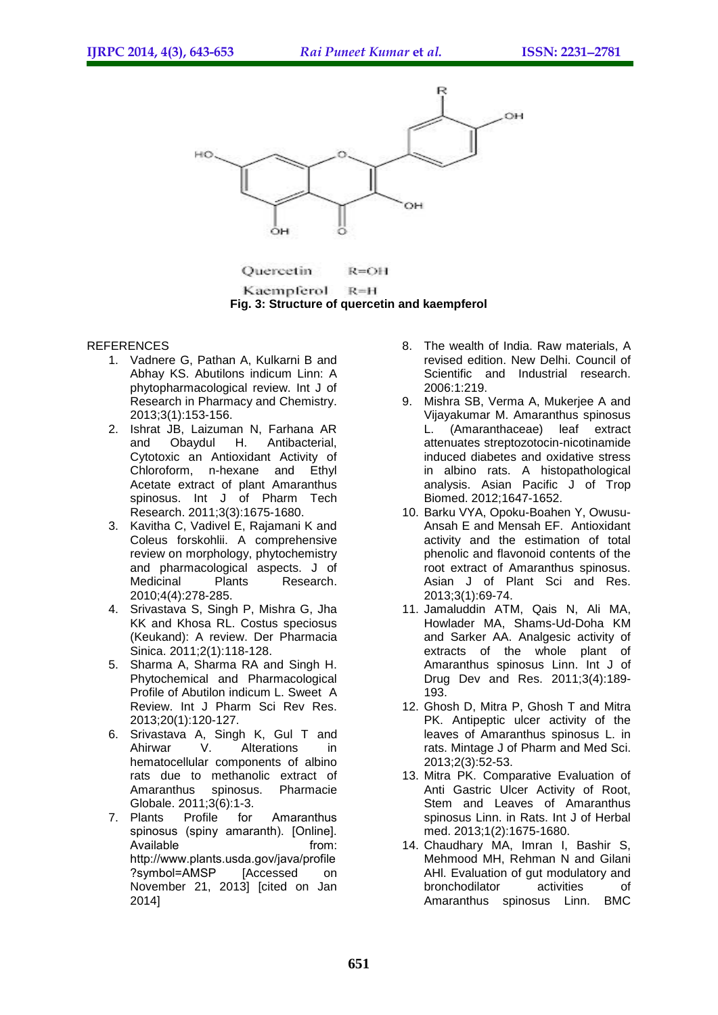

Quercetin  $R = OH$ 

Kaempferol  $R = H$ **Fig. 3: Structure of quercetin and kaempferol**

#### **REFERENCES**

- 1. Vadnere G, Pathan A, Kulkarni B and Abhay KS. Abutilons indicum Linn: A phytopharmacological review. Int J of Research in Pharmacy and Chemistry. 2013;3(1):153-156.
- 2. Ishrat JB, Laizuman N, Farhana AR and Obaydul H. Antibacterial, Cytotoxic an Antioxidant Activity of Chloroform, n-hexane and Ethyl Acetate extract of plant Amaranthus spinosus. Int J of Pharm Tech Research. 2011;3(3):1675-1680.
- 3. Kavitha C, Vadivel E, Rajamani K and Coleus forskohlii. A comprehensive review on morphology, phytochemistry and pharmacological aspects. J of Medicinal Plants Research. 2010;4(4):278-285.
- 4. Srivastava S, Singh P, Mishra G, Jha KK and Khosa RL. Costus speciosus (Keukand): A review. Der Pharmacia Sinica. 2011;2(1):118-128.
- 5. Sharma A, Sharma RA and Singh H. Phytochemical and Pharmacological Profile of Abutilon indicum L. Sweet A Review. Int J Pharm Sci Rev Res. 2013;20(1):120-127.
- 6. Srivastava A, Singh K, Gul T and Ahirwar V. Alterations in hematocellular components of albino rats due to methanolic extract of<br>Amaranthus spinosus. Pharmacie Amaranthus spinosus. Pharmacie Globale. 2011;3(6):1-3.<br>7. Plants Profile for
- Profile for Amaranthus spinosus (spiny amaranth). [Online]. Available **from:** http://www.plants.usda.gov/java/profile ?symbol=AMSP [Accessed on November 21, 2013] [cited on Jan 2014]
- 8. The wealth of India. Raw materials, A revised edition. New Delhi. Council of Scientific and Industrial research. 2006:1:219.
- 9. Mishra SB, Verma A, Mukerjee A and Vijayakumar M. Amaranthus spinosus L. (Amaranthaceae) leaf extract attenuates streptozotocin-nicotinamide induced diabetes and oxidative stress in albino rats. A histopathological analysis. Asian Pacific J of Trop Biomed. 2012;1647-1652.
- 10. Barku VYA, Opoku-Boahen Y, Owusu-Ansah E and Mensah EF. Antioxidant activity and the estimation of total phenolic and flavonoid contents of the root extract of Amaranthus spinosus. Asian J of Plant Sci and Res. 2013;3(1):69-74.
- 11. Jamaluddin ATM, Qais N, Ali MA, Howlader MA, Shams-Ud-Doha KM and Sarker AA. Analgesic activity of extracts of the whole plant of Amaranthus spinosus Linn. Int J of Drug Dev and Res. 2011;3(4):189- 193.
- 12. Ghosh D, Mitra P, Ghosh T and Mitra PK. Antipeptic ulcer activity of the leaves of Amaranthus spinosus L. in rats. Mintage J of Pharm and Med Sci. 2013;2(3):52-53.
- 13. Mitra PK. Comparative Evaluation of Anti Gastric Ulcer Activity of Root, Stem and Leaves of Amaranthus spinosus Linn. in Rats. Int J of Herbal med. 2013;1(2):1675-1680.
- 14. Chaudhary MA, Imran I, Bashir S, Mehmood MH, Rehman N and Gilani AHI. Evaluation of gut modulatory and bronchodilator activities of Amaranthus spinosus Linn. BMC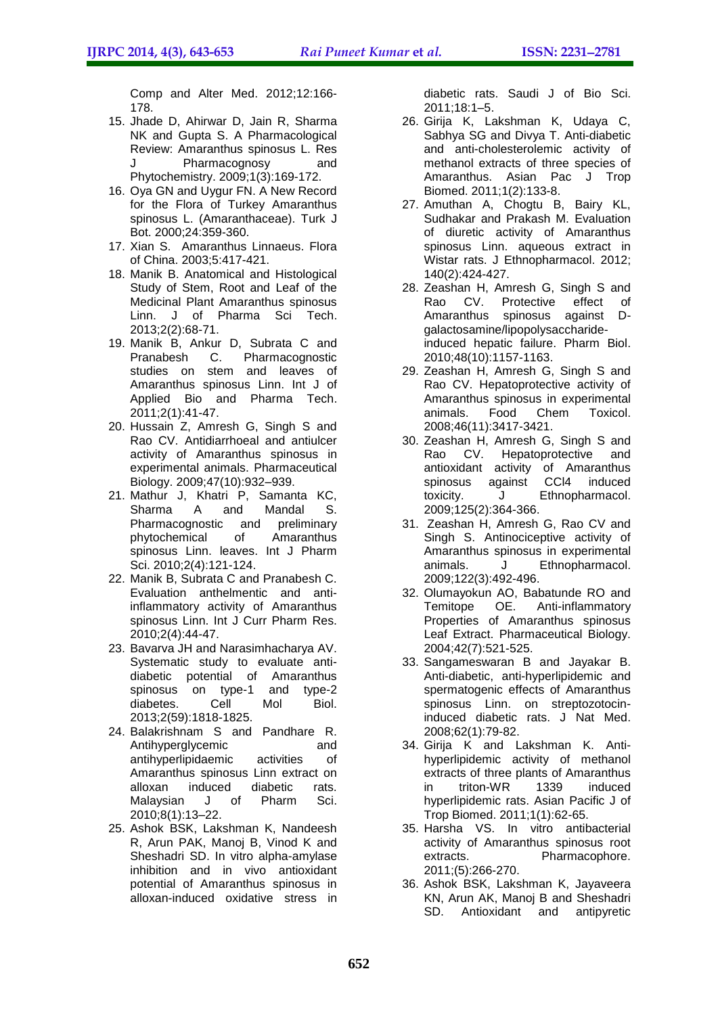Comp and Alter Med. 2012;12:166- 178.

- 15. Jhade D, Ahirwar D, Jain R, Sharma NK and Gupta S. A Pharmacological Review: Amaranthus spinosus L. Res J Pharmacognosy and Phytochemistry. 2009;1(3):169-172.
- 16. Oya GN and Uygur FN. A New Record for the Flora of Turkey Amaranthus spinosus L. (Amaranthaceae). Turk J Bot. 2000;24:359-360.
- 17. Xian S. Amaranthus Linnaeus. Flora of China. 2003;5:417-421.
- 18. Manik B. Anatomical and Histological Study of Stem, Root and Leaf of the Medicinal Plant Amaranthus spinosus Linn. J of Pharma Sci Tech. 2013;2(2):68-71.
- 19. Manik B, Ankur D, Subrata C and Pharmacognostic studies on stem and leaves of Amaranthus spinosus Linn. Int J of Applied Bio and Pharma Tech. 2011;2(1):41-47.
- 20. Hussain Z, Amresh G, Singh S and Rao CV. Antidiarrhoeal and antiulcer activity of Amaranthus spinosus in experimental animals. Pharmaceutical Biology. 2009;47(10):932–939.
- 21. Mathur J, Khatri P, Samanta KC, Sharma A and Mandal S. Pharmacognostic and preliminary phytochemical of Amaranthus spinosus Linn. leaves. Int J Pharm Sci. 2010;2(4):121-124.
- 22. Manik B, Subrata C and Pranabesh C. Evaluation anthelmentic and antiinflammatory activity of Amaranthus spinosus Linn. Int J Curr Pharm Res. 2010;2(4):44-47.
- 23. Bavarva JH and Narasimhacharya AV. Systematic study to evaluate antidiabetic potential of Amaranthus spinosus on type-1 and type-2 diabetes. Cell Mol Biol. 2013;2(59):1818-1825.
- 24. Balakrishnam S and Pandhare R. Antihyperglycemic and antihyperlipidaemic activities of Amaranthus spinosus Linn extract on<br>alloxan induced diabetic rats. alloxan induced diabetic rats. Malaysian J of Pharm Sci. 2010;8(1):13–22.
- 25. Ashok BSK, Lakshman K, Nandeesh R, Arun PAK, Manoj B, Vinod K and Sheshadri SD. In vitro alpha-amylase inhibition and in vivo antioxidant potential of Amaranthus spinosus in alloxan-induced oxidative stress in

diabetic rats. Saudi J of Bio Sci. 2011;18:1–5.

- 26. Girija K, Lakshman K, Udaya C, Sabhya SG and Divya T. Anti-diabetic and anti-cholesterolemic activity of methanol extracts of three species of Amaranthus. Asian Pac J Trop Biomed. 2011;1(2):133-8.
- 27. Amuthan A, Chogtu B, Bairy KL, Sudhakar and Prakash M. Evaluation of diuretic activity of Amaranthus spinosus Linn. aqueous extract in Wistar rats. J Ethnopharmacol. 2012; 140(2):424-427.
- 28. Zeashan H, Amresh G, Singh S and Rao CV. Protective effect of Amaranthus spinosus against Dgalactosamine/lipopolysaccharideinduced hepatic failure. Pharm Biol. 2010;48(10):1157-1163.
- 29. Zeashan H, Amresh G, Singh S and Rao CV. Hepatoprotective activity of Amaranthus spinosus in experimental animals. Food Chem Toxicol. 2008;46(11):3417-3421.
- 30. Zeashan H, Amresh G, Singh S and Rao CV. Hepatoprotective and antioxidant activity of Amaranthus<br>spinosus against CCl4 induced spinosus against toxicity. J Ethnopharmacol. 2009;125(2):364-366.
- 31. Zeashan H, Amresh G, Rao CV and Singh S. Antinociceptive activity of Amaranthus spinosus in experimental animals. J Ethnopharmacol. 2009;122(3):492-496.
- 32. Olumayokun AO, Babatunde RO and Temitope OE. Anti-inflammatory Properties of Amaranthus spinosus Leaf Extract. Pharmaceutical Biology. 2004;42(7):521-525.
- 33. Sangameswaran B and Jayakar B. Anti-diabetic, anti-hyperlipidemic and spermatogenic effects of Amaranthus spinosus Linn. on streptozotocininduced diabetic rats. J Nat Med. 2008;62(1):79-82.
- 34. Girija K and Lakshman K. Antihyperlipidemic activity of methanol extracts of three plants of Amaranthus<br>in triton-WR 1339 induced in triton-WR 1339 induced hyperlipidemic rats. Asian Pacific J of Trop Biomed. 2011;1(1):62-65.
- 35. Harsha VS. In vitro antibacterial activity of Amaranthus spinosus root extracts. Pharmacophore. 2011;(5):266-270.
- 36. Ashok BSK, Lakshman K, Jayaveera KN, Arun AK, Manoj B and Sheshadri SD. Antioxidant and antipyretic